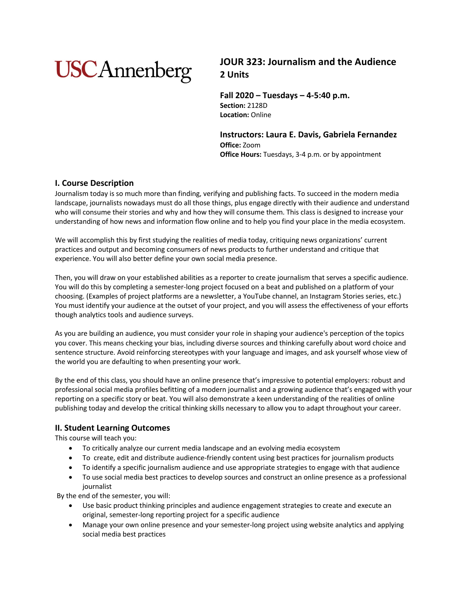# **USCAnnenberg**

## **JOUR 323: Journalism and the Audience 2 Units**

**Fall 2020 – Tuesdays – 4-5:40 p.m. Section:** 2128D **Location:** Online

**Instructors: Laura E. Davis, Gabriela Fernandez Office:** Zoom **Office Hours:** Tuesdays, 3-4 p.m. or by appointment

## **I. Course Description**

Journalism today is so much more than finding, verifying and publishing facts. To succeed in the modern media landscape, journalists nowadays must do all those things, plus engage directly with their audience and understand who will consume their stories and why and how they will consume them. This class is designed to increase your understanding of how news and information flow online and to help you find your place in the media ecosystem.

We will accomplish this by first studying the realities of media today, critiquing news organizations' current practices and output and becoming consumers of news products to further understand and critique that experience. You will also better define your own social media presence.

Then, you will draw on your established abilities as a reporter to create journalism that serves a specific audience. You will do this by completing a semester-long project focused on a beat and published on a platform of your choosing. (Examples of project platforms are a newsletter, a YouTube channel, an Instagram Stories series, etc.) You must identify your audience at the outset of your project, and you will assess the effectiveness of your efforts though analytics tools and audience surveys.

As you are building an audience, you must consider your role in shaping your audience's perception of the topics you cover. This means checking your bias, including diverse sources and thinking carefully about word choice and sentence structure. Avoid reinforcing stereotypes with your language and images, and ask yourself whose view of the world you are defaulting to when presenting your work.

By the end of this class, you should have an online presence that's impressive to potential employers: robust and professional social media profiles befitting of a modern journalist and a growing audience that's engaged with your reporting on a specific story or beat. You will also demonstrate a keen understanding of the realities of online publishing today and develop the critical thinking skills necessary to allow you to adapt throughout your career.

## **II. Student Learning Outcomes**

This course will teach you:

- To critically analyze our current media landscape and an evolving media ecosystem
- To create, edit and distribute audience-friendly content using best practices for journalism products
- To identify a specific journalism audience and use appropriate strategies to engage with that audience
- To use social media best practices to develop sources and construct an online presence as a professional journalist

By the end of the semester, you will:

- Use basic product thinking principles and audience engagement strategies to create and execute an original, semester-long reporting project for a specific audience
- Manage your own online presence and your semester-long project using website analytics and applying social media best practices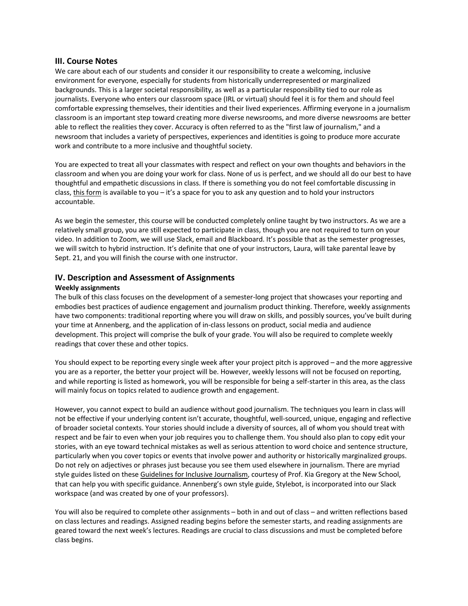#### **III. Course Notes**

We care about each of our students and consider it our responsibility to create a welcoming, inclusive environment for everyone, especially for students from historically underrepresented or marginalized backgrounds. This is a larger societal responsibility, as well as a particular responsibility tied to our role as journalists. Everyone who enters our classroom space (IRL or virtual) should feel it is for them and should feel comfortable expressing themselves, their identities and their lived experiences. Affirming everyone in a journalism classroom is an important step toward creating more diverse newsrooms, and more diverse newsrooms are better able to reflect the realities they cover. Accuracy is often referred to as the "first law of journalism," and a newsroom that includes a variety of perspectives, experiences and identities is going to produce more accurate work and contribute to a more inclusive and thoughtful society.

You are expected to treat all your classmates with respect and reflect on your own thoughts and behaviors in the classroom and when you are doing your work for class. None of us is perfect, and we should all do our best to have thoughtful and empathetic discussions in class. If there is something you do not feel comfortable discussing in class, this form is available to you - it's a space for you to ask any question and to hold your instructors accountable.

As we begin the semester, this course will be conducted completely online taught by two instructors. As we are a relatively small group, you are still expected to participate in class, though you are not required to turn on your video. In addition to Zoom, we will use Slack, email and Blackboard. It's possible that as the semester progresses, we will switch to hybrid instruction. It's definite that one of your instructors, Laura, will take parental leave by Sept. 21, and you will finish the course with one instructor.

#### **IV. Description and Assessment of Assignments**

#### **Weekly assignments**

The bulk of this class focuses on the development of a semester-long project that showcases your reporting and embodies best practices of audience engagement and journalism product thinking. Therefore, weekly assignments have two components: traditional reporting where you will draw on skills, and possibly sources, you've built during your time at Annenberg, and the application of in-class lessons on product, social media and audience development. This project will comprise the bulk of your grade. You will also be required to complete weekly readings that cover these and other topics.

You should expect to be reporting every single week after your project pitch is approved – and the more aggressive you are as a reporter, the better your project will be. However, weekly lessons will not be focused on reporting, and while reporting is listed as homework, you will be responsible for being a self-starter in this area, as the class will mainly focus on topics related to audience growth and engagement.

However, you cannot expect to build an audience without good journalism. The techniques you learn in class will not be effective if your underlying content isn't accurate, thoughtful, well-sourced, unique, engaging and reflective of broader societal contexts. Your stories should include a diversity of sources, all of whom you should treat with respect and be fair to even when your job requires you to challenge them. You should also plan to copy edit your stories, with an eye toward technical mistakes as well as serious attention to word choice and sentence structure, particularly when you cover topics or events that involve power and authority or historically marginalized groups. Do not rely on adjectives or phrases just because you see them used elsewhere in journalism. There are myriad style guides listed on these Guidelines for Inclusive Journalism, courtesy of Prof. Kia Gregory at the New School, that can help you with specific guidance. Annenberg's own style guide, Stylebot, is incorporated into our Slack workspace (and was created by one of your professors).

You will also be required to complete other assignments – both in and out of class – and written reflections based on class lectures and readings. Assigned reading begins before the semester starts, and reading assignments are geared toward the next week's lectures. Readings are crucial to class discussions and must be completed before class begins.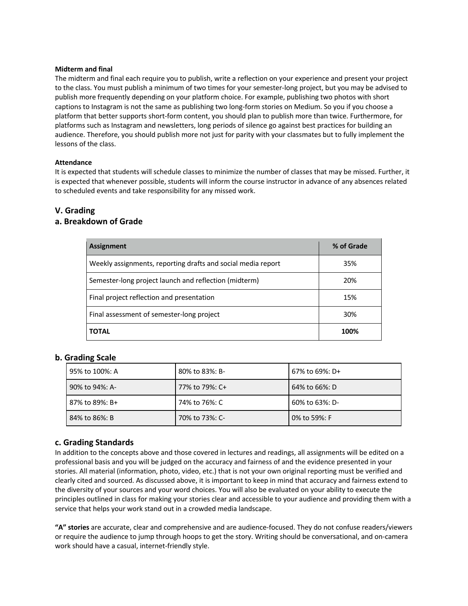#### **Midterm and final**

The midterm and final each require you to publish, write a reflection on your experience and present your project to the class. You must publish a minimum of two times for your semester-long project, but you may be advised to publish more frequently depending on your platform choice. For example, publishing two photos with short captions to Instagram is not the same as publishing two long-form stories on Medium. So you if you choose a platform that better supports short-form content, you should plan to publish more than twice. Furthermore, for platforms such as Instagram and newsletters, long periods of silence go against best practices for building an audience. Therefore, you should publish more not just for parity with your classmates but to fully implement the lessons of the class.

#### **Attendance**

It is expected that students will schedule classes to minimize the number of classes that may be missed. Further, it is expected that whenever possible, students will inform the course instructor in advance of any absences related to scheduled events and take responsibility for any missed work.

## **V. Grading**

## **a. Breakdown of Grade**

| Assignment                                                   | % of Grade |
|--------------------------------------------------------------|------------|
| Weekly assignments, reporting drafts and social media report | 35%        |
| Semester-long project launch and reflection (midterm)        | 20%        |
| Final project reflection and presentation                    | 15%        |
| Final assessment of semester-long project                    | 30%        |
| TOTAL                                                        | 100%       |

## **b. Grading Scale**

| 95% to 100%: A | 80% to 83%: B- | 67% to 69%: D+ |
|----------------|----------------|----------------|
| 90% to 94%: A- | 77% to 79%: C+ | 64% to 66%: D  |
| 87% to 89%: B+ | 74% to 76%: C  | 60% to 63%: D- |
| 84% to 86%: B  | 70% to 73%: C- | 0% to 59%: F   |

## **c. Grading Standards**

In addition to the concepts above and those covered in lectures and readings, all assignments will be edited on a professional basis and you will be judged on the accuracy and fairness of and the evidence presented in your stories. All material (information, photo, video, etc.) that is not your own original reporting must be verified and clearly cited and sourced. As discussed above, it is important to keep in mind that accuracy and fairness extend to the diversity of your sources and your word choices. You will also be evaluated on your ability to execute the principles outlined in class for making your stories clear and accessible to your audience and providing them with a service that helps your work stand out in a crowded media landscape.

**"A" stories** are accurate, clear and comprehensive and are audience-focused. They do not confuse readers/viewers or require the audience to jump through hoops to get the story. Writing should be conversational, and on-camera work should have a casual, internet-friendly style.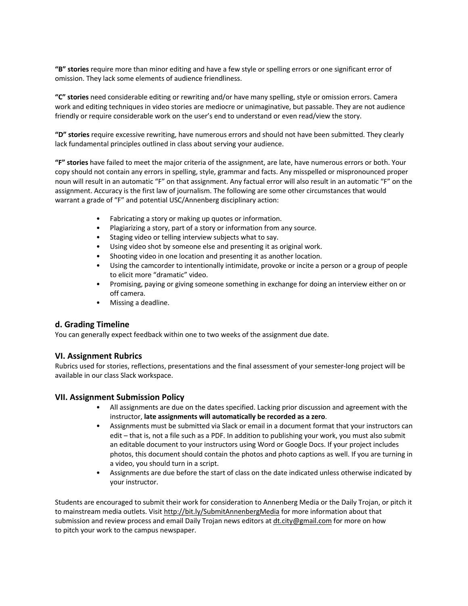**"B" stories** require more than minor editing and have a few style or spelling errors or one significant error of omission. They lack some elements of audience friendliness.

**"C" stories** need considerable editing or rewriting and/or have many spelling, style or omission errors. Camera work and editing techniques in video stories are mediocre or unimaginative, but passable. They are not audience friendly or require considerable work on the user's end to understand or even read/view the story.

**"D" stories** require excessive rewriting, have numerous errors and should not have been submitted. They clearly lack fundamental principles outlined in class about serving your audience.

**"F" stories** have failed to meet the major criteria of the assignment, are late, have numerous errors or both. Your copy should not contain any errors in spelling, style, grammar and facts. Any misspelled or mispronounced proper noun will result in an automatic "F" on that assignment. Any factual error will also result in an automatic "F" on the assignment. Accuracy is the first law of journalism. The following are some other circumstances that would warrant a grade of "F" and potential USC/Annenberg disciplinary action:

- Fabricating a story or making up quotes or information.
- Plagiarizing a story, part of a story or information from any source.
- Staging video or telling interview subjects what to say.
- Using video shot by someone else and presenting it as original work.
- Shooting video in one location and presenting it as another location.
- Using the camcorder to intentionally intimidate, provoke or incite a person or a group of people to elicit more "dramatic" video.
- Promising, paying or giving someone something in exchange for doing an interview either on or off camera.
- Missing a deadline.

## **d. Grading Timeline**

You can generally expect feedback within one to two weeks of the assignment due date.

## **VI. Assignment Rubrics**

Rubrics used for stories, reflections, presentations and the final assessment of your semester-long project will be available in our class Slack workspace.

## **VII. Assignment Submission Policy**

- All assignments are due on the dates specified. Lacking prior discussion and agreement with the instructor, **late assignments will automatically be recorded as a zero**.
- Assignments must be submitted via Slack or email in a document format that your instructors can edit – that is, not a file such as a PDF. In addition to publishing your work, you must also submit an editable document to your instructors using Word or Google Docs. If your project includes photos, this document should contain the photos and photo captions as well. If you are turning in a video, you should turn in a script.
- Assignments are due before the start of class on the date indicated unless otherwise indicated by your instructor.

Students are encouraged to submit their work for consideration to Annenberg Media or the Daily Trojan, or pitch it to mainstream media outlets. Visit http://bit.ly/SubmitAnnenbergMedia for more information about that submission and review process and email Daily Trojan news editors at dt.city@gmail.com for more on how to pitch your work to the campus newspaper.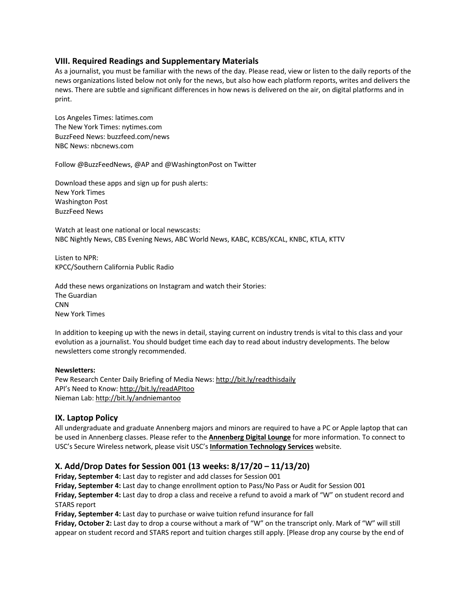## **VIII. Required Readings and Supplementary Materials**

As a journalist, you must be familiar with the news of the day. Please read, view or listen to the daily reports of the news organizations listed below not only for the news, but also how each platform reports, writes and delivers the news. There are subtle and significant differences in how news is delivered on the air, on digital platforms and in print.

Los Angeles Times: latimes.com The New York Times: nytimes.com BuzzFeed News: buzzfeed.com/news NBC News: nbcnews.com

Follow @BuzzFeedNews, @AP and @WashingtonPost on Twitter

Download these apps and sign up for push alerts: New York Times Washington Post BuzzFeed News

Watch at least one national or local newscasts: NBC Nightly News, CBS Evening News, ABC World News, KABC, KCBS/KCAL, KNBC, KTLA, KTTV

Listen to NPR: KPCC/Southern California Public Radio

Add these news organizations on Instagram and watch their Stories: The Guardian **CNN** New York Times

In addition to keeping up with the news in detail, staying current on industry trends is vital to this class and your evolution as a journalist. You should budget time each day to read about industry developments. The below newsletters come strongly recommended.

#### **Newsletters:**

Pew Research Center Daily Briefing of Media News: http://bit.ly/readthisdaily API's Need to Know: http://bit.ly/readAPItoo Nieman Lab: http://bit.ly/andniemantoo

#### **IX. Laptop Policy**

All undergraduate and graduate Annenberg majors and minors are required to have a PC or Apple laptop that can be used in Annenberg classes. Please refer to the **Annenberg Digital Lounge** for more information. To connect to USC's Secure Wireless network, please visit USC's **Information Technology Services** website.

## **X. Add/Drop Dates for Session 001 (13 weeks: 8/17/20 – 11/13/20)**

**Friday, September 4:** Last day to register and add classes for Session 001

**Friday, September 4:** Last day to change enrollment option to Pass/No Pass or Audit for Session 001

**Friday, September 4:** Last day to drop a class and receive a refund to avoid a mark of "W" on student record and STARS report

**Friday, September 4:** Last day to purchase or waive tuition refund insurance for fall

**Friday, October 2:** Last day to drop a course without a mark of "W" on the transcript only. Mark of "W" will still appear on student record and STARS report and tuition charges still apply. [Please drop any course by the end of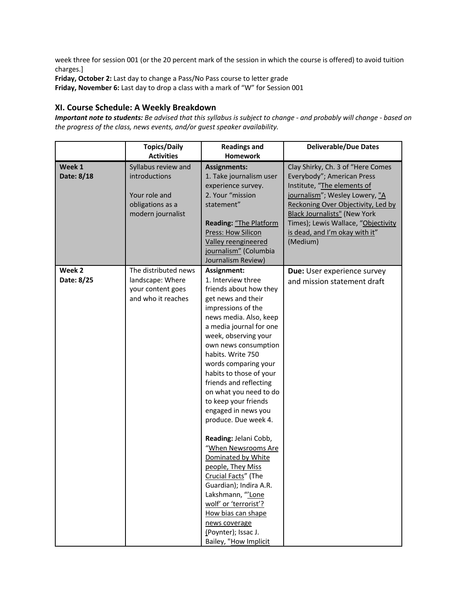week three for session 001 (or the 20 percent mark of the session in which the course is offered) to avoid tuition charges.]

**Friday, October 2:** Last day to change a Pass/No Pass course to letter grade

**Friday, November 6:** Last day to drop a class with a mark of "W" for Session 001

## **XI. Course Schedule: A Weekly Breakdown**

Important note to students: Be advised that this syllabus is subject to change - and probably will change - based on *the progress of the class, news events, and/or guest speaker availability.*

|                      | <b>Topics/Daily</b><br><b>Activities</b>                                                       | <b>Readings and</b><br><b>Homework</b>                                                                                                                                                                                                                                                                                                                                                                                                                                                                                                                                                                                                                                                           | <b>Deliverable/Due Dates</b>                                                                                                                                                                                                                                                                       |
|----------------------|------------------------------------------------------------------------------------------------|--------------------------------------------------------------------------------------------------------------------------------------------------------------------------------------------------------------------------------------------------------------------------------------------------------------------------------------------------------------------------------------------------------------------------------------------------------------------------------------------------------------------------------------------------------------------------------------------------------------------------------------------------------------------------------------------------|----------------------------------------------------------------------------------------------------------------------------------------------------------------------------------------------------------------------------------------------------------------------------------------------------|
| Week 1<br>Date: 8/18 | Syllabus review and<br>introductions<br>Your role and<br>obligations as a<br>modern journalist | <b>Assignments:</b><br>1. Take journalism user<br>experience survey.<br>2. Your "mission<br>statement"<br>Reading: "The Platform<br>Press: How Silicon<br>Valley reengineered<br>journalism" (Columbia<br>Journalism Review)                                                                                                                                                                                                                                                                                                                                                                                                                                                                     | Clay Shirky, Ch. 3 of "Here Comes<br>Everybody"; American Press<br>Institute, "The elements of<br>journalism"; Wesley Lowery, "A<br>Reckoning Over Objectivity, Led by<br><b>Black Journalists"</b> (New York<br>Times); Lewis Wallace, "Objectivity<br>is dead, and I'm okay with it"<br>(Medium) |
| Week 2<br>Date: 8/25 | The distributed news<br>landscape: Where<br>your content goes<br>and who it reaches            | Assignment:<br>1. Interview three<br>friends about how they<br>get news and their<br>impressions of the<br>news media. Also, keep<br>a media journal for one<br>week, observing your<br>own news consumption<br>habits. Write 750<br>words comparing your<br>habits to those of your<br>friends and reflecting<br>on what you need to do<br>to keep your friends<br>engaged in news you<br>produce. Due week 4.<br>Reading: Jelani Cobb,<br>"When Newsrooms Are<br>Dominated by White<br>people, They Miss<br>Crucial Facts" (The<br>Guardian); Indira A.R.<br>Lakshmann, "'Lone<br>wolf' or 'terrorist'?<br>How bias can shape<br>news coverage<br>(Poynter); Issac J.<br>Bailey, "How Implicit | Due: User experience survey<br>and mission statement draft                                                                                                                                                                                                                                         |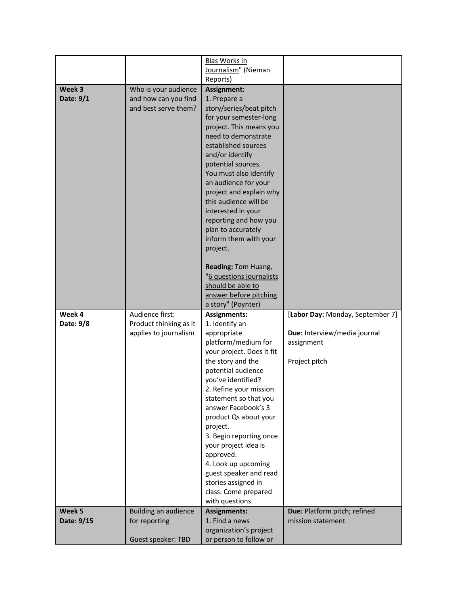|            |                        | <b>Bias Works in</b>                         |                                  |
|------------|------------------------|----------------------------------------------|----------------------------------|
|            |                        | Journalism" (Nieman                          |                                  |
| Week 3     | Who is your audience   | Reports)<br>Assignment:                      |                                  |
| Date: 9/1  | and how can you find   | 1. Prepare a                                 |                                  |
|            | and best serve them?   | story/series/beat pitch                      |                                  |
|            |                        | for your semester-long                       |                                  |
|            |                        | project. This means you                      |                                  |
|            |                        | need to demonstrate<br>established sources   |                                  |
|            |                        | and/or identify                              |                                  |
|            |                        | potential sources.                           |                                  |
|            |                        | You must also identify                       |                                  |
|            |                        | an audience for your                         |                                  |
|            |                        | project and explain why                      |                                  |
|            |                        | this audience will be<br>interested in your  |                                  |
|            |                        | reporting and how you                        |                                  |
|            |                        | plan to accurately                           |                                  |
|            |                        | inform them with your                        |                                  |
|            |                        | project.                                     |                                  |
|            |                        | Reading: Tom Huang,                          |                                  |
|            |                        | "6 questions journalists                     |                                  |
|            |                        | should be able to                            |                                  |
|            |                        | answer before pitching<br>a story" (Poynter) |                                  |
| Week 4     | Audience first:        | <b>Assignments:</b>                          | [Labor Day: Monday, September 7] |
| Date: 9/8  | Product thinking as it |                                              |                                  |
|            |                        | 1. Identify an                               |                                  |
|            | applies to journalism  | appropriate                                  | Due: Interview/media journal     |
|            |                        | platform/medium for                          | assignment                       |
|            |                        | your project. Does it fit                    |                                  |
|            |                        | the story and the<br>potential audience      | Project pitch                    |
|            |                        | you've identified?                           |                                  |
|            |                        | 2. Refine your mission                       |                                  |
|            |                        | statement so that you                        |                                  |
|            |                        | answer Facebook's 3                          |                                  |
|            |                        | product Qs about your                        |                                  |
|            |                        | project.<br>3. Begin reporting once          |                                  |
|            |                        | your project idea is                         |                                  |
|            |                        | approved.                                    |                                  |
|            |                        | 4. Look up upcoming                          |                                  |
|            |                        | guest speaker and read                       |                                  |
|            |                        | stories assigned in<br>class. Come prepared  |                                  |
|            |                        | with questions.                              |                                  |
| Week 5     | Building an audience   | <b>Assignments:</b>                          | Due: Platform pitch; refined     |
| Date: 9/15 | for reporting          | 1. Find a news<br>organization's project     | mission statement                |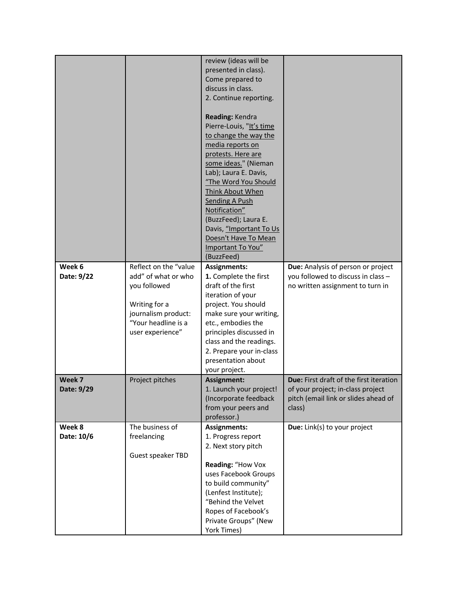| review (ideas will be<br>presented in class).<br>Come prepared to<br>discuss in class.<br>2. Continue reporting.<br>Reading: Kendra<br>Pierre-Louis, "It's time<br>to change the way the<br>media reports on<br>protests. Here are<br>some ideas." (Nieman<br>Lab); Laura E. Davis,<br>"The Word You Should<br>Think About When<br><b>Sending A Push</b><br>Notification"<br>(BuzzFeed); Laura E.<br>Davis, "Important To Us<br>Doesn't Have To Mean |
|------------------------------------------------------------------------------------------------------------------------------------------------------------------------------------------------------------------------------------------------------------------------------------------------------------------------------------------------------------------------------------------------------------------------------------------------------|
|                                                                                                                                                                                                                                                                                                                                                                                                                                                      |
|                                                                                                                                                                                                                                                                                                                                                                                                                                                      |
|                                                                                                                                                                                                                                                                                                                                                                                                                                                      |
|                                                                                                                                                                                                                                                                                                                                                                                                                                                      |
|                                                                                                                                                                                                                                                                                                                                                                                                                                                      |
|                                                                                                                                                                                                                                                                                                                                                                                                                                                      |
|                                                                                                                                                                                                                                                                                                                                                                                                                                                      |
|                                                                                                                                                                                                                                                                                                                                                                                                                                                      |
|                                                                                                                                                                                                                                                                                                                                                                                                                                                      |
|                                                                                                                                                                                                                                                                                                                                                                                                                                                      |
|                                                                                                                                                                                                                                                                                                                                                                                                                                                      |
|                                                                                                                                                                                                                                                                                                                                                                                                                                                      |
|                                                                                                                                                                                                                                                                                                                                                                                                                                                      |
|                                                                                                                                                                                                                                                                                                                                                                                                                                                      |
|                                                                                                                                                                                                                                                                                                                                                                                                                                                      |
|                                                                                                                                                                                                                                                                                                                                                                                                                                                      |
|                                                                                                                                                                                                                                                                                                                                                                                                                                                      |
|                                                                                                                                                                                                                                                                                                                                                                                                                                                      |
|                                                                                                                                                                                                                                                                                                                                                                                                                                                      |
| Important To You"                                                                                                                                                                                                                                                                                                                                                                                                                                    |
| (BuzzFeed)                                                                                                                                                                                                                                                                                                                                                                                                                                           |
| Reflect on the "value<br>Week 6<br><b>Assignments:</b><br>Due: Analysis of person or project                                                                                                                                                                                                                                                                                                                                                         |
| add" of what or who<br>1. Complete the first<br>you followed to discuss in class -<br>Date: 9/22                                                                                                                                                                                                                                                                                                                                                     |
| you followed<br>draft of the first<br>no written assignment to turn in                                                                                                                                                                                                                                                                                                                                                                               |
| iteration of your                                                                                                                                                                                                                                                                                                                                                                                                                                    |
| project. You should<br>Writing for a<br>journalism product:<br>make sure your writing,                                                                                                                                                                                                                                                                                                                                                               |
| "Your headline is a<br>etc., embodies the                                                                                                                                                                                                                                                                                                                                                                                                            |
| user experience"<br>principles discussed in                                                                                                                                                                                                                                                                                                                                                                                                          |
| class and the readings.                                                                                                                                                                                                                                                                                                                                                                                                                              |
| 2. Prepare your in-class                                                                                                                                                                                                                                                                                                                                                                                                                             |
| presentation about                                                                                                                                                                                                                                                                                                                                                                                                                                   |
| your project.                                                                                                                                                                                                                                                                                                                                                                                                                                        |
| Week 7<br>Project pitches<br>Due: First draft of the first iteration<br>Assignment:                                                                                                                                                                                                                                                                                                                                                                  |
| 1. Launch your project!<br>Date: 9/29<br>of your project; in-class project                                                                                                                                                                                                                                                                                                                                                                           |
| (Incorporate feedback<br>pitch (email link or slides ahead of                                                                                                                                                                                                                                                                                                                                                                                        |
| from your peers and<br>class)                                                                                                                                                                                                                                                                                                                                                                                                                        |
| professor.)                                                                                                                                                                                                                                                                                                                                                                                                                                          |
| Week 8<br>The business of<br><b>Assignments:</b><br>Due: Link(s) to your project                                                                                                                                                                                                                                                                                                                                                                     |
| Date: 10/6<br>freelancing<br>1. Progress report                                                                                                                                                                                                                                                                                                                                                                                                      |
| 2. Next story pitch                                                                                                                                                                                                                                                                                                                                                                                                                                  |
| Guest speaker TBD                                                                                                                                                                                                                                                                                                                                                                                                                                    |
| Reading: "How Vox                                                                                                                                                                                                                                                                                                                                                                                                                                    |
| uses Facebook Groups                                                                                                                                                                                                                                                                                                                                                                                                                                 |
| to build community"                                                                                                                                                                                                                                                                                                                                                                                                                                  |
| (Lenfest Institute);                                                                                                                                                                                                                                                                                                                                                                                                                                 |
| "Behind the Velvet                                                                                                                                                                                                                                                                                                                                                                                                                                   |
| Ropes of Facebook's<br>Private Groups" (New                                                                                                                                                                                                                                                                                                                                                                                                          |
| York Times)                                                                                                                                                                                                                                                                                                                                                                                                                                          |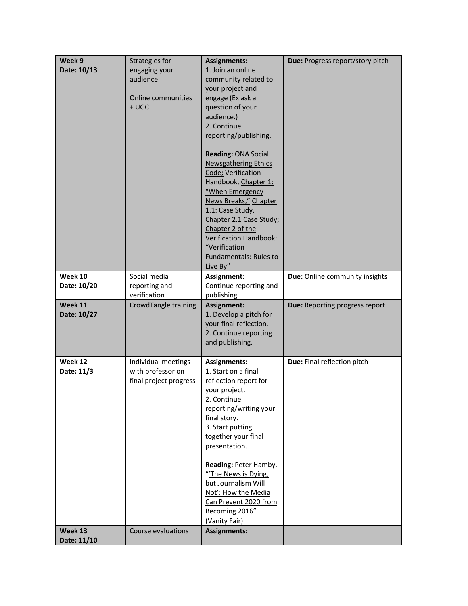| Week 9                                | Strategies for                                                                                     | <b>Assignments:</b>                                                                                                                                                                                                                                                                                                                                                                                                                                                                                                    | Due: Progress report/story pitch |
|---------------------------------------|----------------------------------------------------------------------------------------------------|------------------------------------------------------------------------------------------------------------------------------------------------------------------------------------------------------------------------------------------------------------------------------------------------------------------------------------------------------------------------------------------------------------------------------------------------------------------------------------------------------------------------|----------------------------------|
| Date: 10/13<br>Week 10<br>Date: 10/20 | engaging your<br>audience<br><b>Online communities</b><br>$+$ UGC<br>Social media<br>reporting and | 1. Join an online<br>community related to<br>your project and<br>engage (Ex ask a<br>question of your<br>audience.)<br>2. Continue<br>reporting/publishing.<br><b>Reading: ONA Social</b><br><b>Newsgathering Ethics</b><br>Code; Verification<br>Handbook, Chapter 1:<br>"When Emergency<br>News Breaks," Chapter<br>1.1: Case Study,<br>Chapter 2.1 Case Study;<br>Chapter 2 of the<br>Verification Handbook:<br>"Verification<br><b>Fundamentals: Rules to</b><br>Live By"<br>Assignment:<br>Continue reporting and | Due: Online community insights   |
|                                       | verification                                                                                       | publishing.                                                                                                                                                                                                                                                                                                                                                                                                                                                                                                            |                                  |
| Week 11<br>Date: 10/27                | CrowdTangle training                                                                               | Assignment:<br>1. Develop a pitch for<br>your final reflection.<br>2. Continue reporting<br>and publishing.                                                                                                                                                                                                                                                                                                                                                                                                            | Due: Reporting progress report   |
| Week 12<br>Date: 11/3                 | Individual meetings<br>with professor on<br>final project progress<br>Course evaluations           | <b>Assignments:</b><br>1. Start on a final<br>reflection report for<br>your project.<br>2. Continue<br>reporting/writing your<br>final story.<br>3. Start putting<br>together your final<br>presentation.<br>Reading: Peter Hamby,<br>"The News is Dying,<br>but Journalism Will<br>Not': How the Media<br>Can Prevent 2020 from<br>Becoming 2016"<br>(Vanity Fair)<br><b>Assignments:</b>                                                                                                                             | Due: Final reflection pitch      |
| Week 13                               |                                                                                                    |                                                                                                                                                                                                                                                                                                                                                                                                                                                                                                                        |                                  |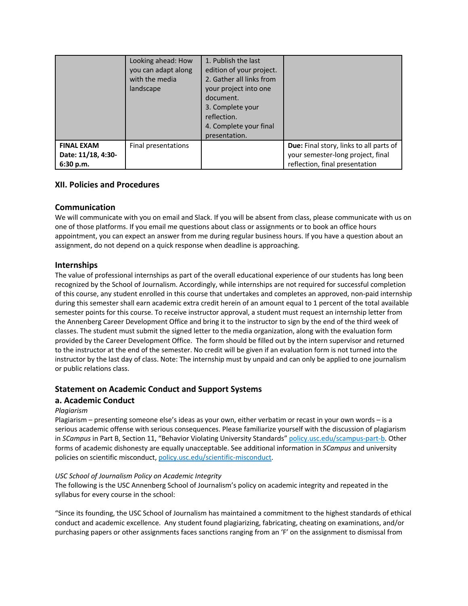|                                                      | Looking ahead: How<br>you can adapt along<br>with the media<br>landscape | 1. Publish the last<br>edition of your project.<br>2. Gather all links from<br>your project into one<br>document.<br>3. Complete your<br>reflection.<br>4. Complete your final<br>presentation. |                                                                                                                |
|------------------------------------------------------|--------------------------------------------------------------------------|-------------------------------------------------------------------------------------------------------------------------------------------------------------------------------------------------|----------------------------------------------------------------------------------------------------------------|
| <b>FINAL EXAM</b><br>Date: 11/18, 4:30-<br>6:30 p.m. | Final presentations                                                      |                                                                                                                                                                                                 | Due: Final story, links to all parts of<br>your semester-long project, final<br>reflection, final presentation |

## **XII. Policies and Procedures**

## **Communication**

We will communicate with you on email and Slack. If you will be absent from class, please communicate with us on one of those platforms. If you email me questions about class or assignments or to book an office hours appointment, you can expect an answer from me during regular business hours. If you have a question about an assignment, do not depend on a quick response when deadline is approaching.

## **Internships**

The value of professional internships as part of the overall educational experience of our students has long been recognized by the School of Journalism. Accordingly, while internships are not required for successful completion of this course, any student enrolled in this course that undertakes and completes an approved, non-paid internship during this semester shall earn academic extra credit herein of an amount equal to 1 percent of the total available semester points for this course. To receive instructor approval, a student must request an internship letter from the Annenberg Career Development Office and bring it to the instructor to sign by the end of the third week of classes. The student must submit the signed letter to the media organization, along with the evaluation form provided by the Career Development Office. The form should be filled out by the intern supervisor and returned to the instructor at the end of the semester. No credit will be given if an evaluation form is not turned into the instructor by the last day of class. Note: The internship must by unpaid and can only be applied to one journalism or public relations class.

## **Statement on Academic Conduct and Support Systems**

## **a. Academic Conduct**

## *Plagiarism*

Plagiarism – presenting someone else's ideas as your own, either verbatim or recast in your own words – is a serious academic offense with serious consequences. Please familiarize yourself with the discussion of plagiarism in *SCampus* in Part B, Section 11, "Behavior Violating University Standards" policy.usc.edu/scampus-part-b. Other forms of academic dishonesty are equally unacceptable. See additional information in *SCampus* and university policies on scientific misconduct, policy.usc.edu/scientific-misconduct.

#### *USC School of Journalism Policy on Academic Integrity*

The following is the USC Annenberg School of Journalism's policy on academic integrity and repeated in the syllabus for every course in the school:

"Since its founding, the USC School of Journalism has maintained a commitment to the highest standards of ethical conduct and academic excellence. Any student found plagiarizing, fabricating, cheating on examinations, and/or purchasing papers or other assignments faces sanctions ranging from an 'F' on the assignment to dismissal from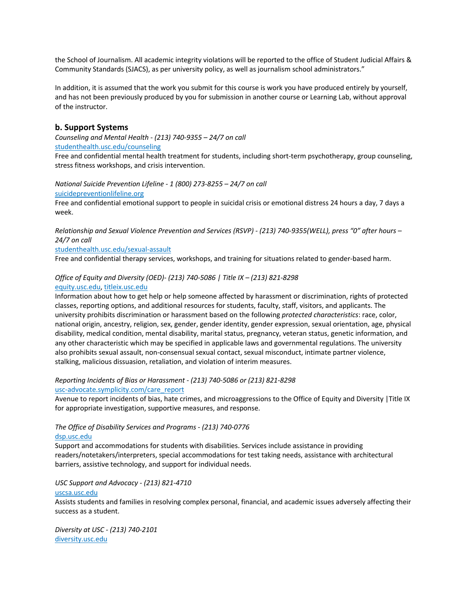the School of Journalism. All academic integrity violations will be reported to the office of Student Judicial Affairs & Community Standards (SJACS), as per university policy, as well as journalism school administrators."

In addition, it is assumed that the work you submit for this course is work you have produced entirely by yourself, and has not been previously produced by you for submission in another course or Learning Lab, without approval of the instructor.

#### **b. Support Systems**

*Counseling and Mental Health - (213) 740-9355 – 24/7 on call* studenthealth.usc.edu/counseling

Free and confidential mental health treatment for students, including short-term psychotherapy, group counseling, stress fitness workshops, and crisis intervention.

*National Suicide Prevention Lifeline - 1 (800) 273-8255 – 24/7 on call* suicidepreventionlifeline.org

Free and confidential emotional support to people in suicidal crisis or emotional distress 24 hours a day, 7 days a week.

*Relationship and Sexual Violence Prevention and Services (RSVP) - (213) 740-9355(WELL), press "0" after hours – 24/7 on call*

studenthealth.usc.edu/sexual-assault

Free and confidential therapy services, workshops, and training for situations related to gender-based harm.

#### *Office of Equity and Diversity (OED)- (213) 740-5086 | Title IX – (213) 821-8298* equity.usc.edu, titleix.usc.edu

Information about how to get help or help someone affected by harassment or discrimination, rights of protected classes, reporting options, and additional resources for students, faculty, staff, visitors, and applicants. The university prohibits discrimination or harassment based on the following *protected characteristics*: race, color, national origin, ancestry, religion, sex, gender, gender identity, gender expression, sexual orientation, age, physical disability, medical condition, mental disability, marital status, pregnancy, veteran status, genetic information, and any other characteristic which may be specified in applicable laws and governmental regulations. The university also prohibits sexual assault, non-consensual sexual contact, sexual misconduct, intimate partner violence, stalking, malicious dissuasion, retaliation, and violation of interim measures.

*Reporting Incidents of Bias or Harassment - (213) 740-5086 or (213) 821-8298* usc-advocate.symplicity.com/care\_report

Avenue to report incidents of bias, hate crimes, and microaggressions to the Office of Equity and Diversity |Title IX for appropriate investigation, supportive measures, and response.

## *The Office of Disability Services and Programs - (213) 740-0776*

#### dsp.usc.edu

Support and accommodations for students with disabilities. Services include assistance in providing readers/notetakers/interpreters, special accommodations for test taking needs, assistance with architectural barriers, assistive technology, and support for individual needs.

*USC Support and Advocacy - (213) 821-4710*

#### uscsa.usc.edu

Assists students and families in resolving complex personal, financial, and academic issues adversely affecting their success as a student.

*Diversity at USC - (213) 740-2101* diversity.usc.edu